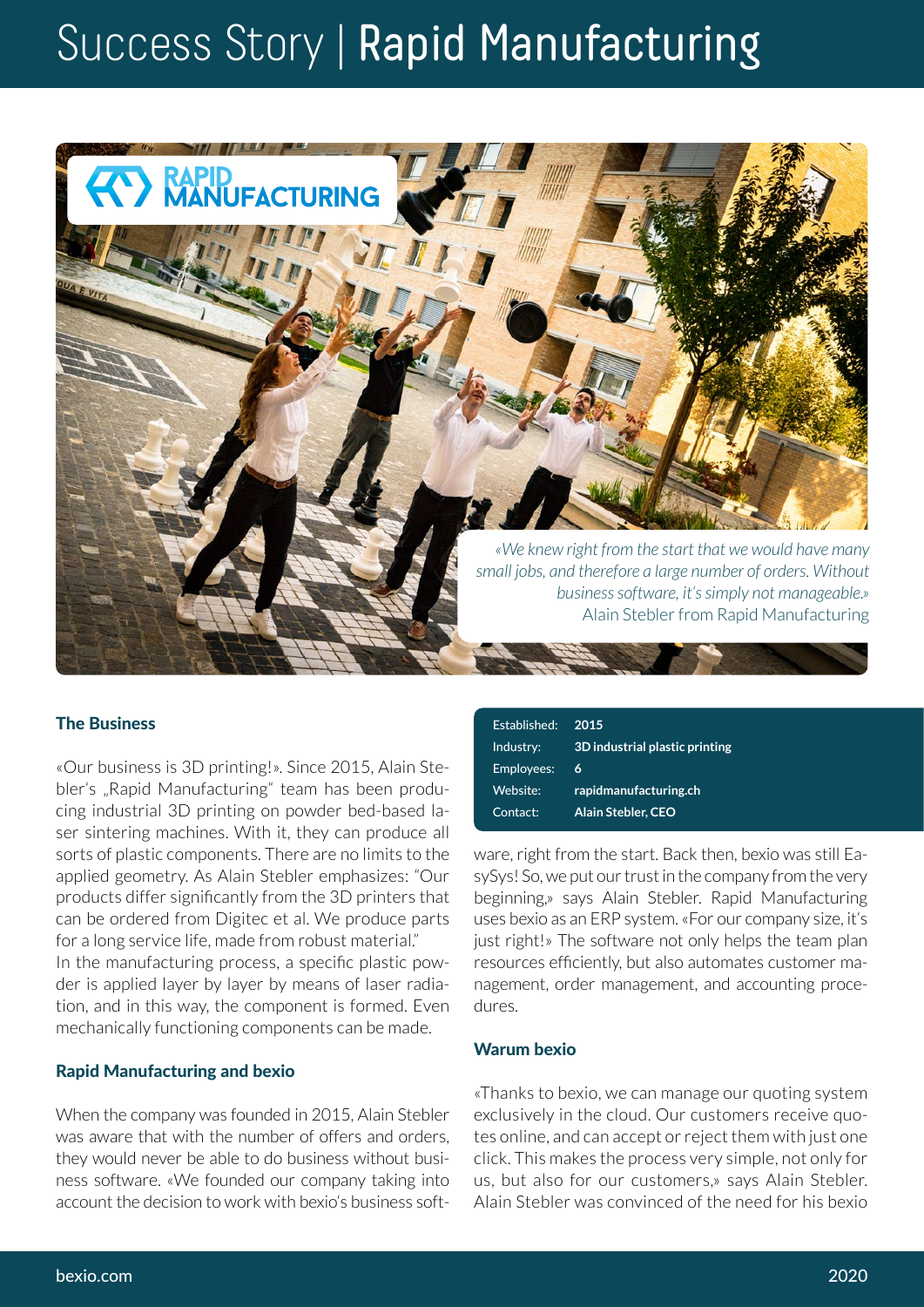# Success Story | Rapid Manufacturing



## The Business

«Our business is 3D printing!». Since 2015, Alain Stebler's "Rapid Manufacturing" team has been producing industrial 3D printing on powder bed-based laser sintering machines. With it, they can produce all sorts of plastic components. There are no limits to the applied geometry. As Alain Stebler emphasizes: "Our products differ significantly from the 3D printers that can be ordered from Digitec et al. We produce parts for a long service life, made from robust material." In the manufacturing process, a specific plastic powder is applied layer by layer by means of laser radiation, and in this way, the component is formed. Even mechanically functioning components can be made.

#### Rapid Manufacturing and bexio

When the company was founded in 2015, Alain Stebler was aware that with the number of offers and orders, they would never be able to do business without business software. «We founded our company taking into account the decision to work with bexio's business soft-

| 2015                           |
|--------------------------------|
| 3D industrial plastic printing |
| 6                              |
| rapidmanufacturing.ch          |
| <b>Alain Stebler, CEO</b>      |
|                                |

ware, right from the start. Back then, bexio was still EasySys! So, we put our trust in the company from the very beginning,» says Alain Stebler. Rapid Manufacturing uses bexio as an ERP system. «For our company size, it's just right!» The software not only helps the team plan resources efficiently, but also automates customer management, order management, and accounting procedures.

### Warum bexio

«Thanks to bexio, we can manage our quoting system exclusively in the cloud. Our customers receive quotes online, and can accept or reject them with just one click. This makes the process very simple, not only for us, but also for our customers,» says Alain Stebler. Alain Stebler was convinced of the need for his bexio